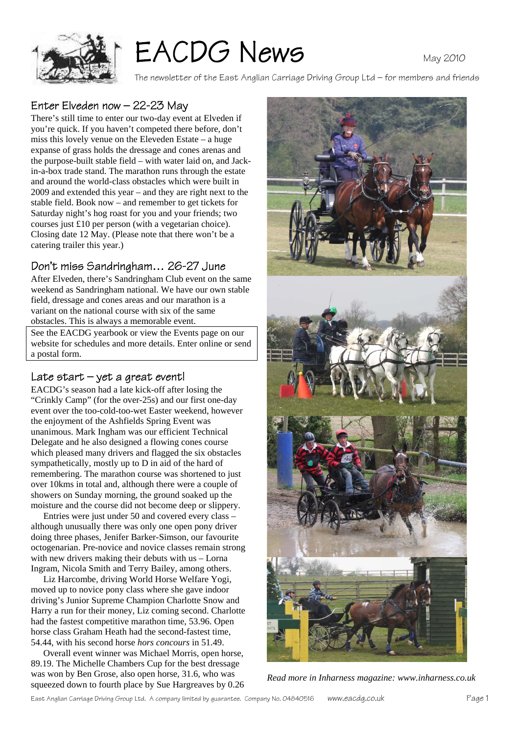

# EACDG News

The newsletter of the East Anglian Carriage Driving Group Ltd – for members and friends

# Enter Elveden now – 22-23 May

There's still time to enter our two-day event at Elveden if you're quick. If you haven't competed there before, don't miss this lovely venue on the Eleveden Estate – a huge expanse of grass holds the dressage and cones arenas and the purpose-built stable field – with water laid on, and Jackin-a-box trade stand. The marathon runs through the estate and around the world-class obstacles which were built in 2009 and extended this year – and they are right next to the stable field. Book now – and remember to get tickets for Saturday night's hog roast for you and your friends; two courses just £10 per person (with a vegetarian choice). Closing date 12 May. (Please note that there won't be a catering trailer this year.)

## Don't miss Sandringham… 26-27 June

After Elveden, there's Sandringham Club event on the same weekend as Sandringham national. We have our own stable field, dressage and cones areas and our marathon is a variant on the national course with six of the same obstacles. This is always a memorable event.

See the EACDG yearbook or view the Events page on our website for schedules and more details. Enter online or send a postal form.

## Late start – yet a great event!

EACDG's season had a late kick-off after losing the "Crinkly Camp" (for the over-25s) and our first one-day event over the too-cold-too-wet Easter weekend, however the enjoyment of the Ashfields Spring Event was unanimous. Mark Ingham was our efficient Technical Delegate and he also designed a flowing cones course which pleased many drivers and flagged the six obstacles sympathetically, mostly up to D in aid of the hard of remembering. The marathon course was shortened to just over 10kms in total and, although there were a couple of showers on Sunday morning, the ground soaked up the moisture and the course did not become deep or slippery.

 Entries were just under 50 and covered every class – although unusually there was only one open pony driver doing three phases, Jenifer Barker-Simson, our favourite octogenarian. Pre-novice and novice classes remain strong with new drivers making their debuts with us – Lorna Ingram, Nicola Smith and Terry Bailey, among others.

 Liz Harcombe, driving World Horse Welfare Yogi, moved up to novice pony class where she gave indoor driving's Junior Supreme Champion Charlotte Snow and Harry a run for their money, Liz coming second. Charlotte had the fastest competitive marathon time, 53.96. Open horse class Graham Heath had the second-fastest time, 54.44, with his second horse *hors concours* in 51.49.

 Overall event winner was Michael Morris, open horse, 89.19. The Michelle Chambers Cup for the best dressage was won by Ben Grose, also open horse, 31.6, who was squeezed down to fourth place by Sue Hargreaves by 0.26



*Read more in Inharness magazine: www.inharness.co.uk*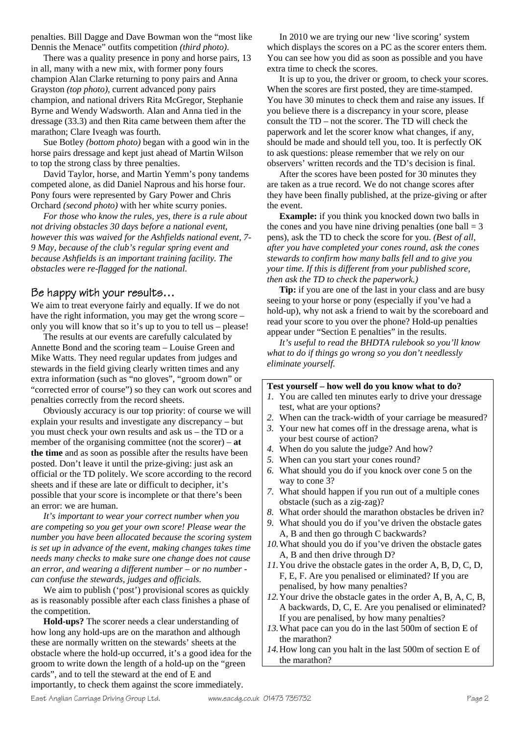penalties. Bill Dagge and Dave Bowman won the "most like Dennis the Menace" outfits competition *(third photo)*.

 There was a quality presence in pony and horse pairs, 13 in all, many with a new mix, with former pony fours champion Alan Clarke returning to pony pairs and Anna Grayston *(top photo)*, current advanced pony pairs champion, and national drivers Rita McGregor, Stephanie Byrne and Wendy Wadsworth. Alan and Anna tied in the dressage (33.3) and then Rita came between them after the marathon; Clare Iveagh was fourth.

 Sue Botley *(bottom photo)* began with a good win in the horse pairs dressage and kept just ahead of Martin Wilson to top the strong class by three penalties.

 David Taylor, horse, and Martin Yemm's pony tandems competed alone, as did Daniel Naprous and his horse four. Pony fours were represented by Gary Power and Chris Orchard *(second photo)* with her white scurry ponies.

 *For those who know the rules, yes, there is a rule about not driving obstacles 30 days before a national event, however this was waived for the Ashfields national event, 7- 9 May, because of the club's regular spring event and because Ashfields is an important training facility. The obstacles were re-flagged for the national.* 

#### Be happy with your results…

We aim to treat everyone fairly and equally. If we do not have the right information, you may get the wrong score – only you will know that so it's up to you to tell us – please!

 The results at our events are carefully calculated by Annette Bond and the scoring team – Louise Green and Mike Watts. They need regular updates from judges and stewards in the field giving clearly written times and any extra information (such as "no gloves", "groom down" or "corrected error of course") so they can work out scores and penalties correctly from the record sheets.

 Obviously accuracy is our top priority: of course we will explain your results and investigate any discrepancy – but you must check your own results and ask us – the TD or a member of the organising committee (not the scorer) – **at the time** and as soon as possible after the results have been posted. Don't leave it until the prize-giving: just ask an official or the TD politely. We score according to the record sheets and if these are late or difficult to decipher, it's possible that your score is incomplete or that there's been an error: we are human.

 *It's important to wear your correct number when you are competing so you get your own score! Please wear the number you have been allocated because the scoring system is set up in advance of the event, making changes takes time needs many checks to make sure one change does not cause an error, and wearing a different number – or no number can confuse the stewards, judges and officials.*

We aim to publish ('post') provisional scores as quickly as is reasonably possible after each class finishes a phase of the competition.

**Hold-ups?** The scorer needs a clear understanding of how long any hold-ups are on the marathon and although these are normally written on the stewards' sheets at the obstacle where the hold-up occurred, it's a good idea for the groom to write down the length of a hold-up on the "green cards", and to tell the steward at the end of E and importantly, to check them against the score immediately.

 In 2010 we are trying our new 'live scoring' system which displays the scores on a PC as the scorer enters them. You can see how you did as soon as possible and you have extra time to check the scores.

 It is up to you, the driver or groom, to check your scores. When the scores are first posted, they are time-stamped. You have 30 minutes to check them and raise any issues. If you believe there is a discrepancy in your score, please consult the TD – not the scorer. The TD will check the paperwork and let the scorer know what changes, if any, should be made and should tell you, too. It is perfectly OK to ask questions: please remember that we rely on our observers' written records and the TD's decision is final.

 After the scores have been posted for 30 minutes they are taken as a true record. We do not change scores after they have been finally published, at the prize-giving or after the event.

**Example:** if you think you knocked down two balls in the cones and you have nine driving penalties (one ball  $=$  3 pens), ask the TD to check the score for you. *(Best of all, after you have completed your cones round, ask the cones stewards to confirm how many balls fell and to give you your time. If this is different from your published score, then ask the TD to check the paperwork.)* 

**Tip:** if you are one of the last in your class and are busy seeing to your horse or pony (especially if you've had a hold-up), why not ask a friend to wait by the scoreboard and read your score to you over the phone? Hold-up penalties appear under "Section E penalties" in the results.

*It's useful to read the BHDTA rulebook so you'll know what to do if things go wrong so you don't needlessly eliminate yourself.* 

| Test yourself – how well do you know what to do?             |                                                                     |  |
|--------------------------------------------------------------|---------------------------------------------------------------------|--|
|                                                              | 1. You are called ten minutes early to drive your dressage          |  |
|                                                              | test, what are your options?                                        |  |
|                                                              | 2. When can the track-width of your carriage be measured?           |  |
|                                                              | 3. Your new hat comes off in the dressage arena, what is            |  |
|                                                              | your best course of action?                                         |  |
|                                                              | 4. When do you salute the judge? And how?                           |  |
|                                                              | 5. When can you start your cones round?                             |  |
|                                                              | 6. What should you do if you knock over cone 5 on the               |  |
|                                                              | way to cone 3?                                                      |  |
|                                                              | 7. What should happen if you run out of a multiple cones            |  |
|                                                              | obstacle (such as a zig-zag)?                                       |  |
|                                                              | 8. What order should the marathon obstacles be driven in?           |  |
|                                                              | 9. What should you do if you've driven the obstacle gates           |  |
|                                                              | A, B and then go through C backwards?                               |  |
|                                                              | 10. What should you do if you've driven the obstacle gates          |  |
|                                                              | A, B and then drive through D?                                      |  |
| 11. You drive the obstacle gates in the order A, B, D, C, D, |                                                                     |  |
|                                                              | F, E, F. Are you penalised or eliminated? If you are                |  |
|                                                              | penalised, by how many penalties?                                   |  |
|                                                              | 12 Your drive the obstacle gates in the order $A \times A \times C$ |  |

*12.*Your drive the obstacle gates in the order A, B, A, C, B, A backwards, D, C, E. Are you penalised or eliminated? If you are penalised, by how many penalties?

- *13.*What pace can you do in the last 500m of section E of the marathon?
- *14.*How long can you halt in the last 500m of section E of the marathon?